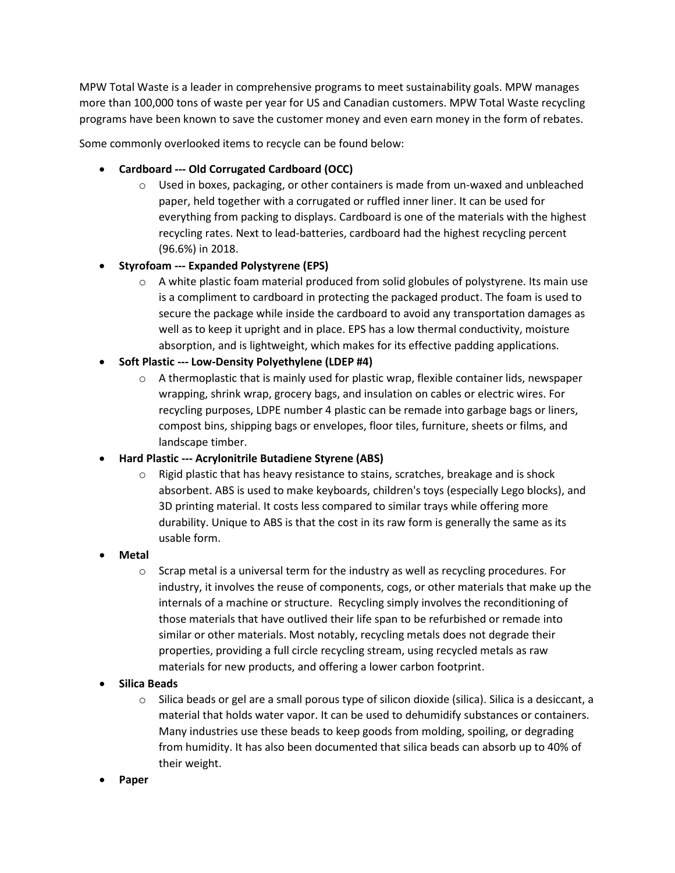MPW Total Waste is a leader in comprehensive programs to meet sustainability goals. MPW manages more than 100,000 tons of waste per year for US and Canadian customers. MPW Total Waste recycling programs have been known to save the customer money and even earn money in the form of rebates.

Some commonly overlooked items to recycle can be found below:

- **Cardboard --- Old Corrugated Cardboard (OCC)**
	- $\circ$  Used in boxes, packaging, or other containers is made from un-waxed and unbleached paper, held together with a corrugated or ruffled inner liner. It can be used for everything from packing to displays. Cardboard is one of the materials with the highest recycling rates. Next to lead-batteries, cardboard had the highest recycling percent (96.6%) in 2018.

## • **Styrofoam --- Expanded Polystyrene (EPS)**

- $\circ$  A white plastic foam material produced from solid globules of polystyrene. Its main use is a compliment to cardboard in protecting the packaged product. The foam is used to secure the package while inside the cardboard to avoid any transportation damages as well as to keep it upright and in place. EPS has a low thermal conductivity, moisture absorption, and is lightweight, which makes for its effective padding applications.
- **Soft Plastic --- Low-Density Polyethylene (LDEP #4)**
	- $\circ$  A thermoplastic that is mainly used for plastic wrap, flexible container lids, newspaper wrapping, shrink wrap, grocery bags, and insulation on cables or electric wires. For recycling purposes, LDPE number 4 plastic can be remade into garbage bags or liners, compost bins, shipping bags or envelopes, floor tiles, furniture, sheets or films, and landscape timber.
- **Hard Plastic --- Acrylonitrile Butadiene Styrene (ABS)**
	- $\circ$  Rigid plastic that has heavy resistance to stains, scratches, breakage and is shock absorbent. ABS is used to make keyboards, children's toys (especially Lego blocks), and 3D printing material. It costs less compared to similar trays while offering more durability. Unique to ABS is that the cost in its raw form is generally the same as its usable form.
- **Metal**
	- $\circ$  Scrap metal is a universal term for the industry as well as recycling procedures. For industry, it involves the reuse of components, cogs, or other materials that make up the internals of a machine or structure. Recycling simply involves the reconditioning of those materials that have outlived their life span to be refurbished or remade into similar or other materials. Most notably, recycling metals does not degrade their properties, providing a full circle recycling stream, using recycled metals as raw materials for new products, and offering a lower carbon footprint.
- **Silica Beads**
	- $\circ$  Silica beads or gel are a small porous type of silicon dioxide (silica). Silica is a desiccant, a material that holds water vapor. It can be used to dehumidify substances or containers. Many industries use these beads to keep goods from molding, spoiling, or degrading from humidity. It has also been documented that silica beads can absorb up to 40% of their weight.
- **Paper**